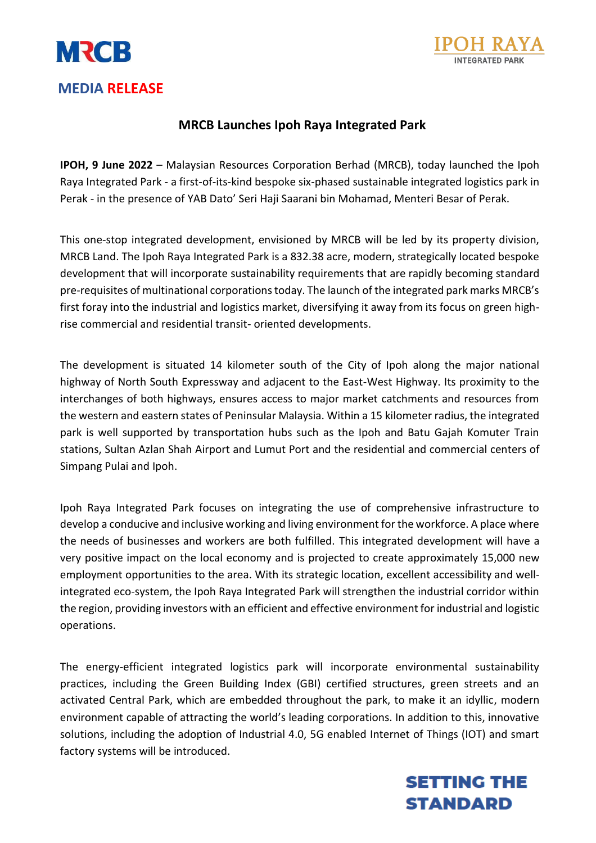



## **MEDIA RELEASE**

## **MRCB Launches Ipoh Raya Integrated Park**

**IPOH, 9 June 2022** – Malaysian Resources Corporation Berhad (MRCB), today launched the Ipoh Raya Integrated Park - a first-of-its-kind bespoke six-phased sustainable integrated logistics park in Perak - in the presence of YAB Dato' Seri Haji Saarani bin Mohamad, Menteri Besar of Perak.

This one-stop integrated development, envisioned by MRCB will be led by its property division, MRCB Land. The Ipoh Raya Integrated Park is a 832.38 acre, modern, strategically located bespoke development that will incorporate sustainability requirements that are rapidly becoming standard pre-requisites of multinational corporations today. The launch of the integrated park marks MRCB's first foray into the industrial and logistics market, diversifying it away from its focus on green highrise commercial and residential transit- oriented developments.

The development is situated 14 kilometer south of the City of Ipoh along the major national highway of North South Expressway and adjacent to the East-West Highway. Its proximity to the interchanges of both highways, ensures access to major market catchments and resources from the western and eastern states of Peninsular Malaysia. Within a 15 kilometer radius, the integrated park is well supported by transportation hubs such as the Ipoh and Batu Gajah Komuter Train stations, Sultan Azlan Shah Airport and Lumut Port and the residential and commercial centers of Simpang Pulai and Ipoh.

Ipoh Raya Integrated Park focuses on integrating the use of comprehensive infrastructure to develop a conducive and inclusive working and living environment for the workforce. A place where the needs of businesses and workers are both fulfilled. This integrated development will have a very positive impact on the local economy and is projected to create approximately 15,000 new employment opportunities to the area. With its strategic location, excellent accessibility and wellintegrated eco-system, the Ipoh Raya Integrated Park will strengthen the industrial corridor within the region, providing investors with an efficient and effective environment for industrial and logistic operations.

The energy-efficient integrated logistics park will incorporate environmental sustainability practices, including the Green Building Index (GBI) certified structures, green streets and an activated Central Park, which are embedded throughout the park, to make it an idyllic, modern environment capable of attracting the world's leading corporations. In addition to this, innovative solutions, including the adoption of Industrial 4.0, 5G enabled Internet of Things (IOT) and smart factory systems will be introduced.

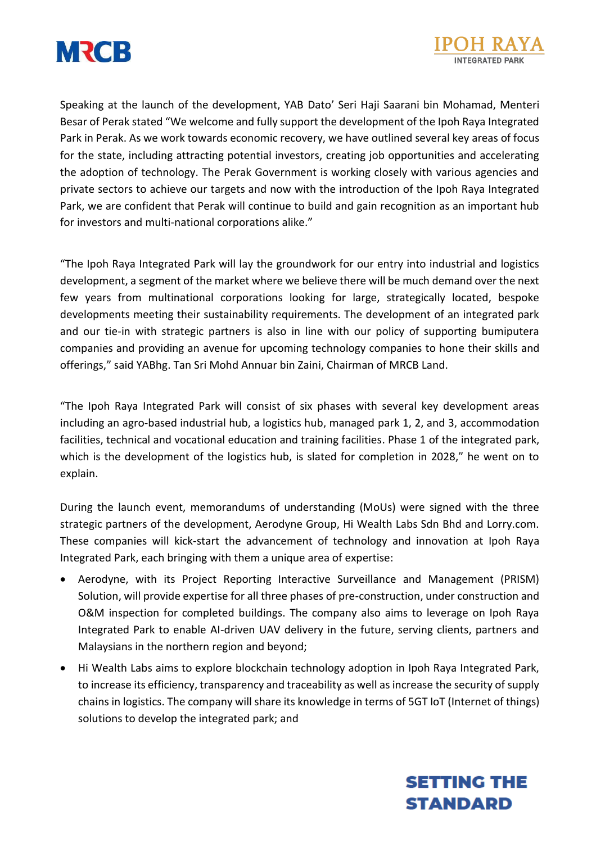



Speaking at the launch of the development, YAB Dato' Seri Haji Saarani bin Mohamad, Menteri Besar of Perak stated "We welcome and fully support the development of the Ipoh Raya Integrated Park in Perak. As we work towards economic recovery, we have outlined several key areas of focus for the state, including attracting potential investors, creating job opportunities and accelerating the adoption of technology. The Perak Government is working closely with various agencies and private sectors to achieve our targets and now with the introduction of the Ipoh Raya Integrated Park, we are confident that Perak will continue to build and gain recognition as an important hub for investors and multi-national corporations alike."

"The Ipoh Raya Integrated Park will lay the groundwork for our entry into industrial and logistics development, a segment of the market where we believe there will be much demand over the next few years from multinational corporations looking for large, strategically located, bespoke developments meeting their sustainability requirements. The development of an integrated park and our tie-in with strategic partners is also in line with our policy of supporting bumiputera companies and providing an avenue for upcoming technology companies to hone their skills and offerings," said YABhg. Tan Sri Mohd Annuar bin Zaini, Chairman of MRCB Land.

"The Ipoh Raya Integrated Park will consist of six phases with several key development areas including an agro-based industrial hub, a logistics hub, managed park 1, 2, and 3, accommodation facilities, technical and vocational education and training facilities. Phase 1 of the integrated park, which is the development of the logistics hub, is slated for completion in 2028," he went on to explain.

During the launch event, memorandums of understanding (MoUs) were signed with the three strategic partners of the development, Aerodyne Group, Hi Wealth Labs Sdn Bhd and Lorry.com. These companies will kick-start the advancement of technology and innovation at Ipoh Raya Integrated Park, each bringing with them a unique area of expertise:

- Aerodyne, with its Project Reporting Interactive Surveillance and Management (PRISM) Solution, will provide expertise for all three phases of pre-construction, under construction and O&M inspection for completed buildings. The company also aims to leverage on Ipoh Raya Integrated Park to enable AI-driven UAV delivery in the future, serving clients, partners and Malaysians in the northern region and beyond;
- Hi Wealth Labs aims to explore blockchain technology adoption in Ipoh Raya Integrated Park, to increase its efficiency, transparency and traceability as well as increase the security of supply chains in logistics. The company will share its knowledge in terms of 5GT IoT (Internet of things) solutions to develop the integrated park; and